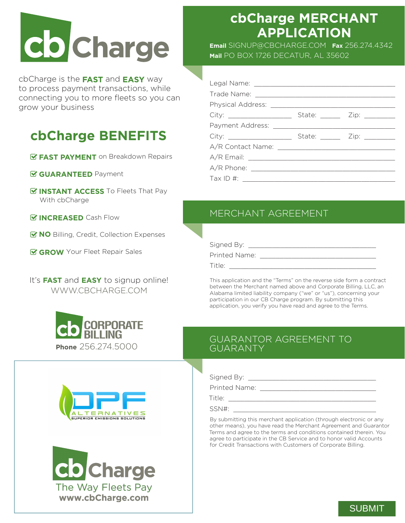# **Co** Charge

cbCharge is the **FAST** and **EASY** way to process payment transactions, while connecting you to more fleets so you can grow your business

# **cbCharge BENEFITS**

- *EAST PAYMENT* on Breakdown Repairs
- **GUARANTEED** Payment
- *G* **INSTANT ACCESS** To Fleets That Pay With cbCharge
- *<b>EX INCREASED* Cash Flow
- **MO** Billing, Credit, Collection Expenses
- **GROW** Your Fleet Repair Sales

It's **FAST** and **EASY** to signup online! WWW.CBCHARGE.COM







# **cbCharge MERCHANT APPLICATION**

**Email** SIGNUP@CBCHARGE.COM **Fax** 256.274.4342 **Mail** PO BOX 1726 DECATUR, AL 35602

| City: ______________________                                                    | State: _______ Zip: ________ |
|---------------------------------------------------------------------------------|------------------------------|
|                                                                                 |                              |
|                                                                                 | State: ______ Zip: _______   |
|                                                                                 |                              |
|                                                                                 |                              |
|                                                                                 |                              |
| Tax ID #:<br>$\mathcal{L}^{\text{max}}$ . The set of $\mathcal{L}^{\text{max}}$ |                              |

## MERCHANT AGREEMENT

| Signed By:    |  |
|---------------|--|
| Printed Name: |  |
| Title:        |  |

This application and the "Terms" on the reverse side form a contract between the Merchant named above and Corporate Billing, LLC, an Alabama limited liability company ("we" or "us"), concerning your participation in our CB Charge program. By submitting this application, you verify you have read and agree to the Terms.

### GUARANTOR AGREEMENT TO GUARANTY

Signed By: \_\_\_\_\_\_\_\_\_\_\_\_\_\_\_\_\_\_\_\_\_\_\_\_\_\_\_\_\_\_\_\_\_\_\_

Printed Name:

Title: \_\_\_\_\_\_\_\_\_\_\_\_\_\_\_\_\_\_\_\_\_\_\_\_\_\_\_\_\_\_\_\_\_\_\_\_\_\_\_\_

 $SSN#$ :

By submitting this merchant application (through electronic or any other means), you have read the Merchant Agreement and Guarantor Terms and agree to the terms and conditions contained therein. You agree to participate in the CB Service and to honor valid Accounts for Credit Transactions with Customers of Corporate Billing.

### SUBMIT SUBMIT